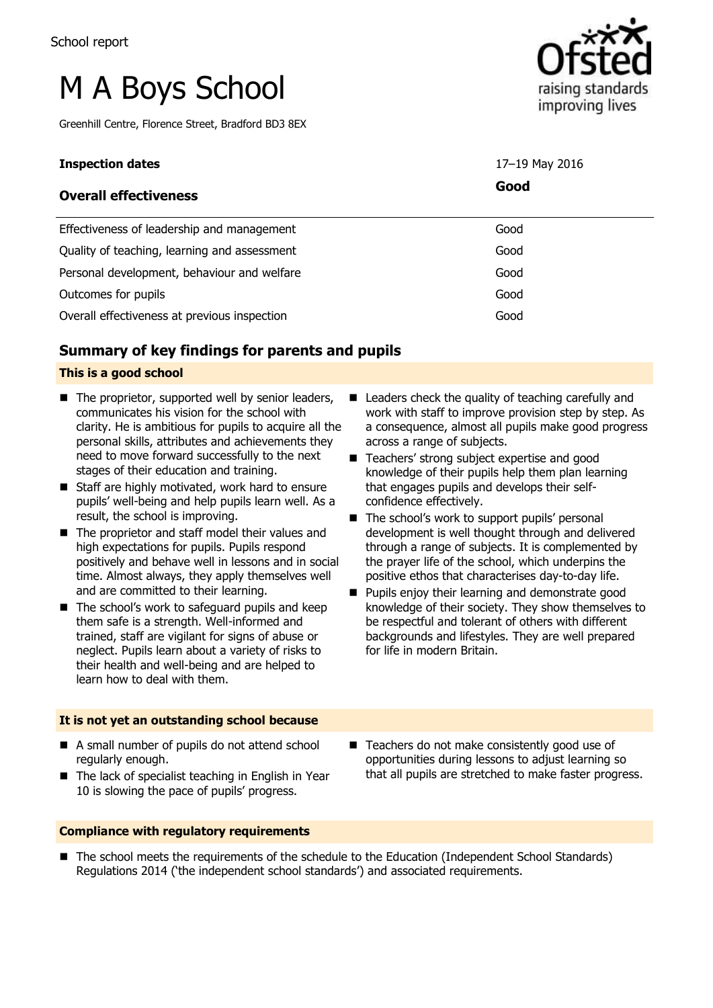# M A Boys School

Greenhill Centre, Florence Street, Bradford BD3 8EX



| Good<br><b>Overall effectiveness</b>                 |  |
|------------------------------------------------------|--|
| Effectiveness of leadership and management<br>Good   |  |
| Quality of teaching, learning and assessment<br>Good |  |
| Personal development, behaviour and welfare<br>Good  |  |
| Outcomes for pupils<br>Good                          |  |
| Good<br>Overall effectiveness at previous inspection |  |

# **Summary of key findings for parents and pupils**

#### **This is a good school**

- $\blacksquare$  The proprietor, supported well by senior leaders, communicates his vision for the school with clarity. He is ambitious for pupils to acquire all the personal skills, attributes and achievements they need to move forward successfully to the next stages of their education and training.
- Staff are highly motivated, work hard to ensure pupils' well-being and help pupils learn well. As a result, the school is improving.
- The proprietor and staff model their values and high expectations for pupils. Pupils respond positively and behave well in lessons and in social time. Almost always, they apply themselves well and are committed to their learning.
- $\blacksquare$  The school's work to safeguard pupils and keep them safe is a strength. Well-informed and trained, staff are vigilant for signs of abuse or neglect. Pupils learn about a variety of risks to their health and well-being and are helped to learn how to deal with them.
- **It is not yet an outstanding school because**
- A small number of pupils do not attend school regularly enough.
- The lack of specialist teaching in English in Year 10 is slowing the pace of pupils' progress.
- Leaders check the quality of teaching carefully and work with staff to improve provision step by step. As a consequence, almost all pupils make good progress across a range of subjects.
- Teachers' strong subject expertise and good knowledge of their pupils help them plan learning that engages pupils and develops their selfconfidence effectively.
- The school's work to support pupils' personal development is well thought through and delivered through a range of subjects. It is complemented by the prayer life of the school, which underpins the positive ethos that characterises day-to-day life.
- **Pupils enjoy their learning and demonstrate good** knowledge of their society. They show themselves to be respectful and tolerant of others with different backgrounds and lifestyles. They are well prepared for life in modern Britain.
- Teachers do not make consistently good use of opportunities during lessons to adjust learning so that all pupils are stretched to make faster progress.

#### **Compliance with regulatory requirements**

■ The school meets the requirements of the schedule to the Education (Independent School Standards) Regulations 2014 ('the independent school standards') and associated requirements.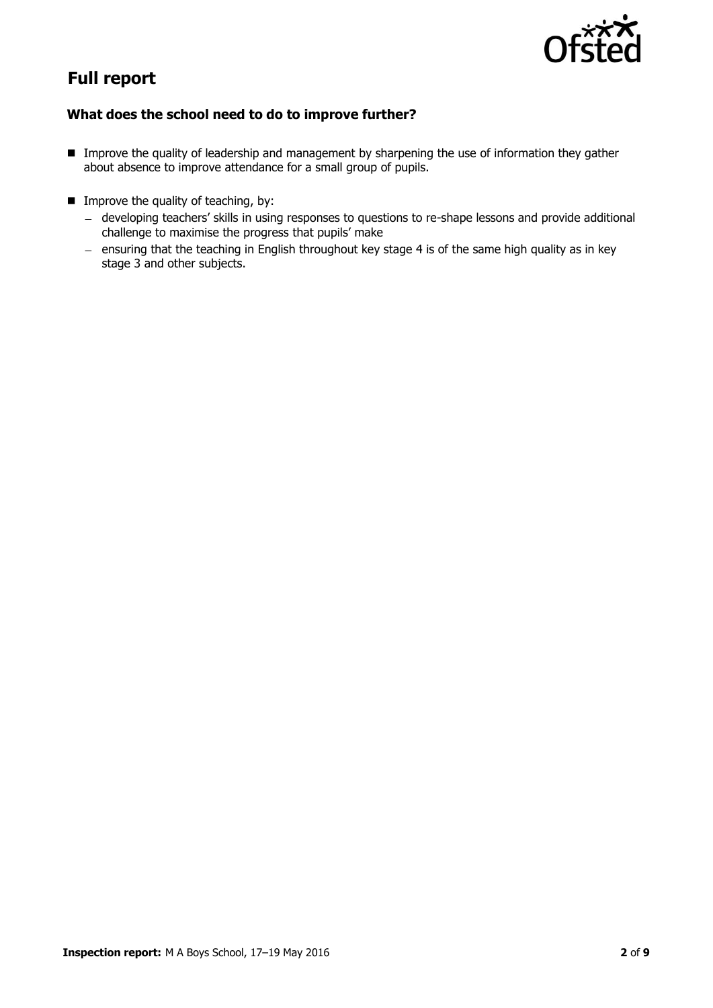

# **Full report**

### **What does the school need to do to improve further?**

- **IMP** Improve the quality of leadership and management by sharpening the use of information they gather about absence to improve attendance for a small group of pupils.
- $\blacksquare$  Improve the quality of teaching, by:
	- developing teachers' skills in using responses to questions to re-shape lessons and provide additional challenge to maximise the progress that pupils' make
	- ensuring that the teaching in English throughout key stage 4 is of the same high quality as in key stage 3 and other subjects.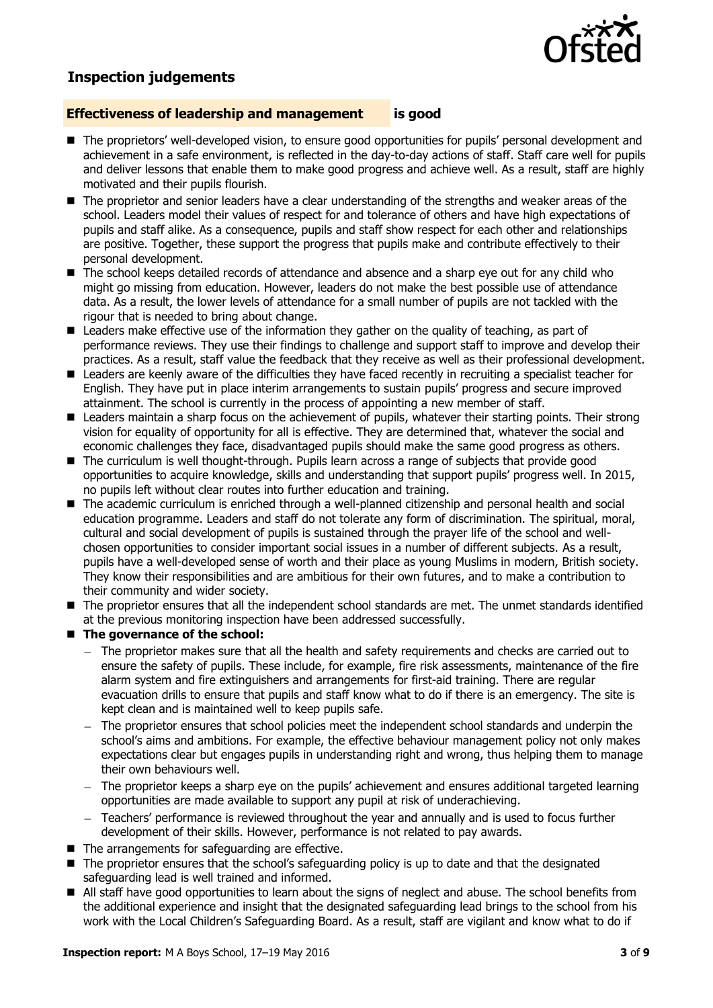

# **Inspection judgements**

#### **Effectiveness of leadership and management is good**

- The proprietors' well-developed vision, to ensure good opportunities for pupils' personal development and achievement in a safe environment, is reflected in the day-to-day actions of staff. Staff care well for pupils and deliver lessons that enable them to make good progress and achieve well. As a result, staff are highly motivated and their pupils flourish.
- The proprietor and senior leaders have a clear understanding of the strengths and weaker areas of the school. Leaders model their values of respect for and tolerance of others and have high expectations of pupils and staff alike. As a consequence, pupils and staff show respect for each other and relationships are positive. Together, these support the progress that pupils make and contribute effectively to their personal development.
- The school keeps detailed records of attendance and absence and a sharp eye out for any child who might go missing from education. However, leaders do not make the best possible use of attendance data. As a result, the lower levels of attendance for a small number of pupils are not tackled with the rigour that is needed to bring about change.
- Leaders make effective use of the information they gather on the quality of teaching, as part of performance reviews. They use their findings to challenge and support staff to improve and develop their practices. As a result, staff value the feedback that they receive as well as their professional development.
- Leaders are keenly aware of the difficulties they have faced recently in recruiting a specialist teacher for English. They have put in place interim arrangements to sustain pupils' progress and secure improved attainment. The school is currently in the process of appointing a new member of staff.
- **Leaders maintain a sharp focus on the achievement of pupils, whatever their starting points. Their strong** vision for equality of opportunity for all is effective. They are determined that, whatever the social and economic challenges they face, disadvantaged pupils should make the same good progress as others.
- The curriculum is well thought-through. Pupils learn across a range of subjects that provide good opportunities to acquire knowledge, skills and understanding that support pupils' progress well. In 2015, no pupils left without clear routes into further education and training.
- The academic curriculum is enriched through a well-planned citizenship and personal health and social education programme. Leaders and staff do not tolerate any form of discrimination. The spiritual, moral, cultural and social development of pupils is sustained through the prayer life of the school and wellchosen opportunities to consider important social issues in a number of different subjects. As a result, pupils have a well-developed sense of worth and their place as young Muslims in modern, British society. They know their responsibilities and are ambitious for their own futures, and to make a contribution to their community and wider society.
- $\blacksquare$  The proprietor ensures that all the independent school standards are met. The unmet standards identified at the previous monitoring inspection have been addressed successfully.

#### ■ The governance of the school:

- $-$  The proprietor makes sure that all the health and safety requirements and checks are carried out to ensure the safety of pupils. These include, for example, fire risk assessments, maintenance of the fire alarm system and fire extinguishers and arrangements for first-aid training. There are regular evacuation drills to ensure that pupils and staff know what to do if there is an emergency. The site is kept clean and is maintained well to keep pupils safe.
- The proprietor ensures that school policies meet the independent school standards and underpin the school's aims and ambitions. For example, the effective behaviour management policy not only makes expectations clear but engages pupils in understanding right and wrong, thus helping them to manage their own behaviours well.
- The proprietor keeps a sharp eye on the pupils' achievement and ensures additional targeted learning opportunities are made available to support any pupil at risk of underachieving.
- Teachers' performance is reviewed throughout the year and annually and is used to focus further development of their skills. However, performance is not related to pay awards.
- The arrangements for safeguarding are effective.
- The proprietor ensures that the school's safeguarding policy is up to date and that the designated safeguarding lead is well trained and informed.
- All staff have good opportunities to learn about the signs of neglect and abuse. The school benefits from the additional experience and insight that the designated safeguarding lead brings to the school from his work with the Local Children's Safeguarding Board. As a result, staff are vigilant and know what to do if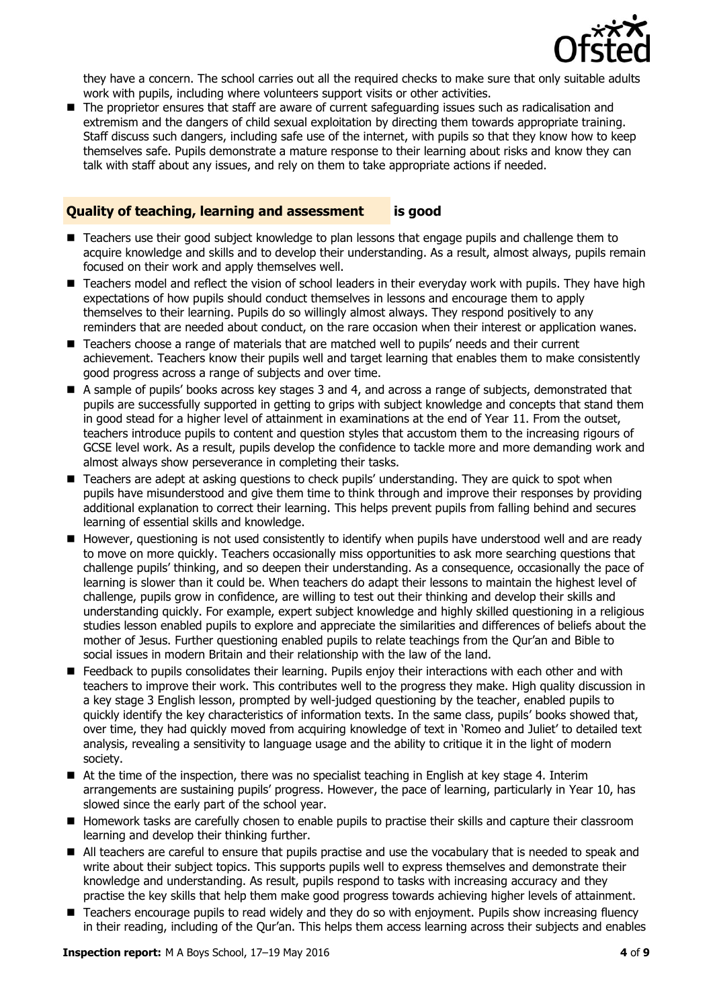

they have a concern. The school carries out all the required checks to make sure that only suitable adults work with pupils, including where volunteers support visits or other activities.

■ The proprietor ensures that staff are aware of current safeguarding issues such as radicalisation and extremism and the dangers of child sexual exploitation by directing them towards appropriate training. Staff discuss such dangers, including safe use of the internet, with pupils so that they know how to keep themselves safe. Pupils demonstrate a mature response to their learning about risks and know they can talk with staff about any issues, and rely on them to take appropriate actions if needed.

#### **Quality of teaching, learning and assessment is good**

- Teachers use their good subject knowledge to plan lessons that engage pupils and challenge them to acquire knowledge and skills and to develop their understanding. As a result, almost always, pupils remain focused on their work and apply themselves well.
- E Teachers model and reflect the vision of school leaders in their everyday work with pupils. They have high expectations of how pupils should conduct themselves in lessons and encourage them to apply themselves to their learning. Pupils do so willingly almost always. They respond positively to any reminders that are needed about conduct, on the rare occasion when their interest or application wanes.
- Teachers choose a range of materials that are matched well to pupils' needs and their current achievement. Teachers know their pupils well and target learning that enables them to make consistently good progress across a range of subjects and over time.
- A sample of pupils' books across key stages 3 and 4, and across a range of subjects, demonstrated that pupils are successfully supported in getting to grips with subject knowledge and concepts that stand them in good stead for a higher level of attainment in examinations at the end of Year 11. From the outset, teachers introduce pupils to content and question styles that accustom them to the increasing rigours of GCSE level work. As a result, pupils develop the confidence to tackle more and more demanding work and almost always show perseverance in completing their tasks.
- Teachers are adept at asking questions to check pupils' understanding. They are quick to spot when pupils have misunderstood and give them time to think through and improve their responses by providing additional explanation to correct their learning. This helps prevent pupils from falling behind and secures learning of essential skills and knowledge.
- However, questioning is not used consistently to identify when pupils have understood well and are ready to move on more quickly. Teachers occasionally miss opportunities to ask more searching questions that challenge pupils' thinking, and so deepen their understanding. As a consequence, occasionally the pace of learning is slower than it could be. When teachers do adapt their lessons to maintain the highest level of challenge, pupils grow in confidence, are willing to test out their thinking and develop their skills and understanding quickly. For example, expert subject knowledge and highly skilled questioning in a religious studies lesson enabled pupils to explore and appreciate the similarities and differences of beliefs about the mother of Jesus. Further questioning enabled pupils to relate teachings from the Qur'an and Bible to social issues in modern Britain and their relationship with the law of the land.
- **Feedback to pupils consolidates their learning. Pupils enjoy their interactions with each other and with each** teachers to improve their work. This contributes well to the progress they make. High quality discussion in a key stage 3 English lesson, prompted by well-judged questioning by the teacher, enabled pupils to quickly identify the key characteristics of information texts. In the same class, pupils' books showed that, over time, they had quickly moved from acquiring knowledge of text in 'Romeo and Juliet' to detailed text analysis, revealing a sensitivity to language usage and the ability to critique it in the light of modern society.
- At the time of the inspection, there was no specialist teaching in English at key stage 4. Interim arrangements are sustaining pupils' progress. However, the pace of learning, particularly in Year 10, has slowed since the early part of the school year.
- **H** Homework tasks are carefully chosen to enable pupils to practise their skills and capture their classroom learning and develop their thinking further.
- All teachers are careful to ensure that pupils practise and use the vocabulary that is needed to speak and write about their subject topics. This supports pupils well to express themselves and demonstrate their knowledge and understanding. As result, pupils respond to tasks with increasing accuracy and they practise the key skills that help them make good progress towards achieving higher levels of attainment.
- Teachers encourage pupils to read widely and they do so with enjoyment. Pupils show increasing fluency in their reading, including of the Qur'an. This helps them access learning across their subjects and enables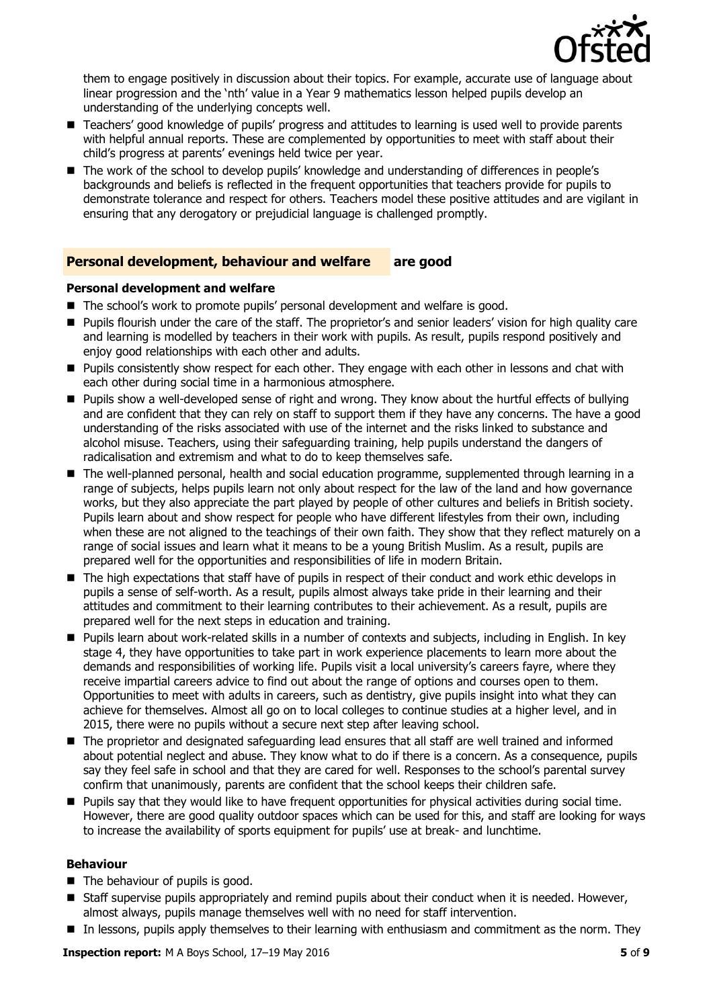

them to engage positively in discussion about their topics. For example, accurate use of language about linear progression and the 'nth' value in a Year 9 mathematics lesson helped pupils develop an understanding of the underlying concepts well.

- Teachers' good knowledge of pupils' progress and attitudes to learning is used well to provide parents with helpful annual reports. These are complemented by opportunities to meet with staff about their child's progress at parents' evenings held twice per year.
- The work of the school to develop pupils' knowledge and understanding of differences in people's backgrounds and beliefs is reflected in the frequent opportunities that teachers provide for pupils to demonstrate tolerance and respect for others. Teachers model these positive attitudes and are vigilant in ensuring that any derogatory or prejudicial language is challenged promptly.

#### **Personal development, behaviour and welfare are good**

#### **Personal development and welfare**

- The school's work to promote pupils' personal development and welfare is good.
- Pupils flourish under the care of the staff. The proprietor's and senior leaders' vision for high quality care and learning is modelled by teachers in their work with pupils. As result, pupils respond positively and enjoy good relationships with each other and adults.
- **Pupils consistently show respect for each other. They engage with each other in lessons and chat with** each other during social time in a harmonious atmosphere.
- **Pupils show a well-developed sense of right and wrong. They know about the hurtful effects of bullying** and are confident that they can rely on staff to support them if they have any concerns. The have a good understanding of the risks associated with use of the internet and the risks linked to substance and alcohol misuse. Teachers, using their safeguarding training, help pupils understand the dangers of radicalisation and extremism and what to do to keep themselves safe.
- The well-planned personal, health and social education programme, supplemented through learning in a range of subjects, helps pupils learn not only about respect for the law of the land and how governance works, but they also appreciate the part played by people of other cultures and beliefs in British society. Pupils learn about and show respect for people who have different lifestyles from their own, including when these are not aligned to the teachings of their own faith. They show that they reflect maturely on a range of social issues and learn what it means to be a young British Muslim. As a result, pupils are prepared well for the opportunities and responsibilities of life in modern Britain.
- The high expectations that staff have of pupils in respect of their conduct and work ethic develops in pupils a sense of self-worth. As a result, pupils almost always take pride in their learning and their attitudes and commitment to their learning contributes to their achievement. As a result, pupils are prepared well for the next steps in education and training.
- Pupils learn about work-related skills in a number of contexts and subjects, including in English. In key stage 4, they have opportunities to take part in work experience placements to learn more about the demands and responsibilities of working life. Pupils visit a local university's careers fayre, where they receive impartial careers advice to find out about the range of options and courses open to them. Opportunities to meet with adults in careers, such as dentistry, give pupils insight into what they can achieve for themselves. Almost all go on to local colleges to continue studies at a higher level, and in 2015, there were no pupils without a secure next step after leaving school.
- The proprietor and designated safeguarding lead ensures that all staff are well trained and informed about potential neglect and abuse. They know what to do if there is a concern. As a consequence, pupils say they feel safe in school and that they are cared for well. Responses to the school's parental survey confirm that unanimously, parents are confident that the school keeps their children safe.
- **Pupils say that they would like to have frequent opportunities for physical activities during social time.** However, there are good quality outdoor spaces which can be used for this, and staff are looking for ways to increase the availability of sports equipment for pupils' use at break- and lunchtime.

#### **Behaviour**

- The behaviour of pupils is good.
- **Staff supervise pupils appropriately and remind pupils about their conduct when it is needed. However,** almost always, pupils manage themselves well with no need for staff intervention.
- In lessons, pupils apply themselves to their learning with enthusiasm and commitment as the norm. They

**Inspection report:** M A Boys School, 17–19 May 2016 **5** of **9**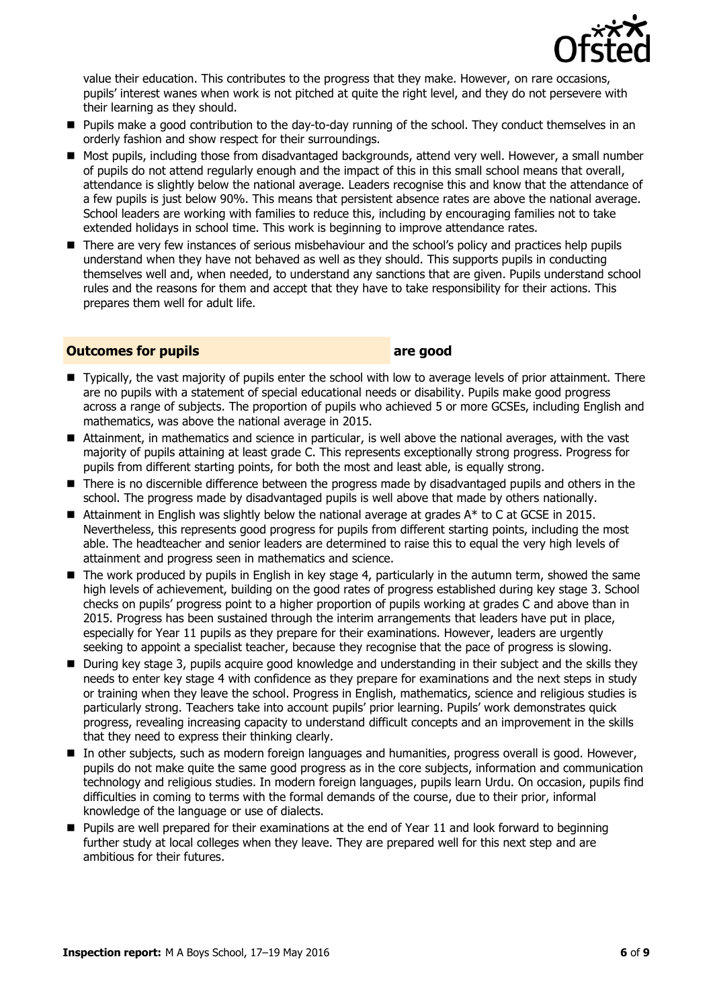

value their education. This contributes to the progress that they make. However, on rare occasions, pupils' interest wanes when work is not pitched at quite the right level, and they do not persevere with their learning as they should.

- **Pupils make a good contribution to the day-to-day running of the school. They conduct themselves in an** orderly fashion and show respect for their surroundings.
- Most pupils, including those from disadvantaged backgrounds, attend very well. However, a small number of pupils do not attend regularly enough and the impact of this in this small school means that overall, attendance is slightly below the national average. Leaders recognise this and know that the attendance of a few pupils is just below 90%. This means that persistent absence rates are above the national average. School leaders are working with families to reduce this, including by encouraging families not to take extended holidays in school time. This work is beginning to improve attendance rates.
- There are very few instances of serious misbehaviour and the school's policy and practices help pupils understand when they have not behaved as well as they should. This supports pupils in conducting themselves well and, when needed, to understand any sanctions that are given. Pupils understand school rules and the reasons for them and accept that they have to take responsibility for their actions. This prepares them well for adult life.

#### **Outcomes for pupils are good**

- **Typically, the vast majority of pupils enter the school with low to average levels of prior attainment. There** are no pupils with a statement of special educational needs or disability. Pupils make good progress across a range of subjects. The proportion of pupils who achieved 5 or more GCSEs, including English and mathematics, was above the national average in 2015.
- Attainment, in mathematics and science in particular, is well above the national averages, with the vast majority of pupils attaining at least grade C. This represents exceptionally strong progress. Progress for pupils from different starting points, for both the most and least able, is equally strong.
- There is no discernible difference between the progress made by disadvantaged pupils and others in the school. The progress made by disadvantaged pupils is well above that made by others nationally.
- Attainment in English was slightly below the national average at grades  $A^*$  to C at GCSE in 2015. Nevertheless, this represents good progress for pupils from different starting points, including the most able. The headteacher and senior leaders are determined to raise this to equal the very high levels of attainment and progress seen in mathematics and science.
- The work produced by pupils in English in key stage 4, particularly in the autumn term, showed the same high levels of achievement, building on the good rates of progress established during key stage 3. School checks on pupils' progress point to a higher proportion of pupils working at grades C and above than in 2015. Progress has been sustained through the interim arrangements that leaders have put in place, especially for Year 11 pupils as they prepare for their examinations. However, leaders are urgently seeking to appoint a specialist teacher, because they recognise that the pace of progress is slowing.
- During key stage 3, pupils acquire good knowledge and understanding in their subject and the skills they needs to enter key stage 4 with confidence as they prepare for examinations and the next steps in study or training when they leave the school. Progress in English, mathematics, science and religious studies is particularly strong. Teachers take into account pupils' prior learning. Pupils' work demonstrates quick progress, revealing increasing capacity to understand difficult concepts and an improvement in the skills that they need to express their thinking clearly.
- In other subjects, such as modern foreign languages and humanities, progress overall is good. However, pupils do not make quite the same good progress as in the core subjects, information and communication technology and religious studies. In modern foreign languages, pupils learn Urdu. On occasion, pupils find difficulties in coming to terms with the formal demands of the course, due to their prior, informal knowledge of the language or use of dialects.
- Pupils are well prepared for their examinations at the end of Year 11 and look forward to beginning further study at local colleges when they leave. They are prepared well for this next step and are ambitious for their futures.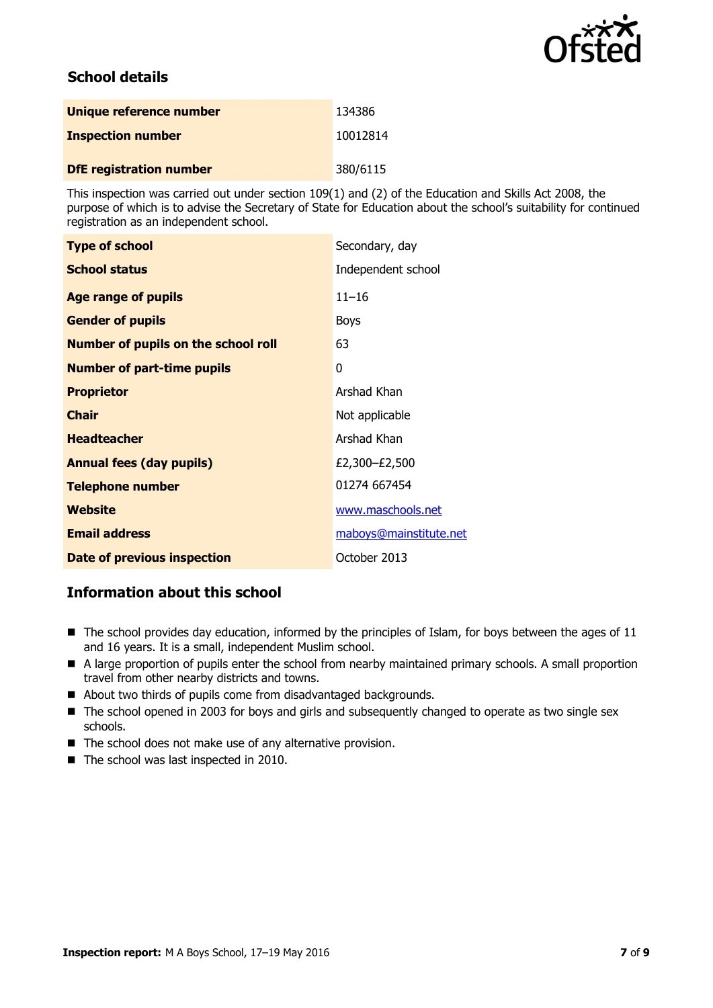

# **School details**

| Unique reference number        | 134386   |
|--------------------------------|----------|
| <b>Inspection number</b>       | 10012814 |
| <b>DfE registration number</b> | 380/6115 |

This inspection was carried out under section 109(1) and (2) of the Education and Skills Act 2008, the purpose of which is to advise the Secretary of State for Education about the school's suitability for continued registration as an independent school.

| <b>Type of school</b>                      | Secondary, day         |
|--------------------------------------------|------------------------|
| <b>School status</b>                       | Independent school     |
| <b>Age range of pupils</b>                 | $11 - 16$              |
| <b>Gender of pupils</b>                    | <b>Boys</b>            |
| <b>Number of pupils on the school roll</b> | 63                     |
| <b>Number of part-time pupils</b>          | 0                      |
| <b>Proprietor</b>                          | Arshad Khan            |
| <b>Chair</b>                               | Not applicable         |
| <b>Headteacher</b>                         | Arshad Khan            |
| <b>Annual fees (day pupils)</b>            | £2,300-£2,500          |
| <b>Telephone number</b>                    | 01274 667454           |
| <b>Website</b>                             | www.maschools.net      |
| <b>Email address</b>                       | maboys@mainstitute.net |
| <b>Date of previous inspection</b>         | October 2013           |

## **Information about this school**

- The school provides day education, informed by the principles of Islam, for boys between the ages of 11 and 16 years. It is a small, independent Muslim school.
- A large proportion of pupils enter the school from nearby maintained primary schools. A small proportion travel from other nearby districts and towns.
- About two thirds of pupils come from disadvantaged backgrounds.
- The school opened in 2003 for boys and girls and subsequently changed to operate as two single sex schools.
- The school does not make use of any alternative provision.
- The school was last inspected in 2010.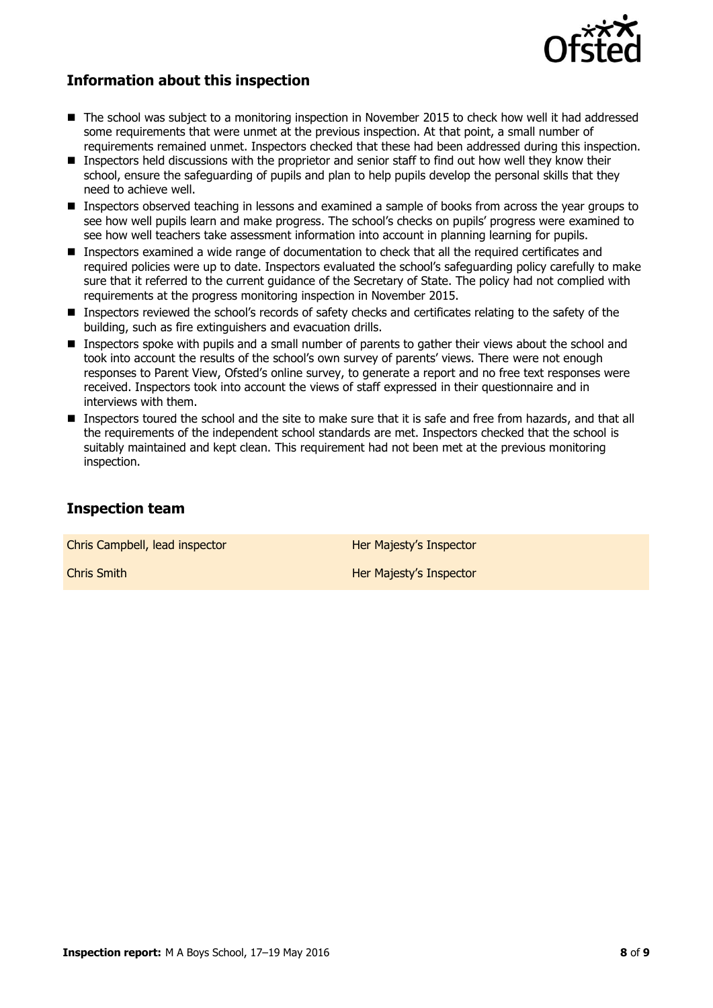

### **Information about this inspection**

- The school was subject to a monitoring inspection in November 2015 to check how well it had addressed some requirements that were unmet at the previous inspection. At that point, a small number of requirements remained unmet. Inspectors checked that these had been addressed during this inspection.
- Inspectors held discussions with the proprietor and senior staff to find out how well they know their school, ensure the safeguarding of pupils and plan to help pupils develop the personal skills that they need to achieve well.
- **Inspectors observed teaching in lessons and examined a sample of books from across the year groups to** see how well pupils learn and make progress. The school's checks on pupils' progress were examined to see how well teachers take assessment information into account in planning learning for pupils.
- **Inspectors examined a wide range of documentation to check that all the required certificates and** required policies were up to date. Inspectors evaluated the school's safeguarding policy carefully to make sure that it referred to the current guidance of the Secretary of State. The policy had not complied with requirements at the progress monitoring inspection in November 2015.
- Inspectors reviewed the school's records of safety checks and certificates relating to the safety of the building, such as fire extinguishers and evacuation drills.
- **Inspectors spoke with pupils and a small number of parents to gather their views about the school and** took into account the results of the school's own survey of parents' views. There were not enough responses to Parent View, Ofsted's online survey, to generate a report and no free text responses were received. Inspectors took into account the views of staff expressed in their questionnaire and in interviews with them.
- Inspectors toured the school and the site to make sure that it is safe and free from hazards, and that all the requirements of the independent school standards are met. Inspectors checked that the school is suitably maintained and kept clean. This requirement had not been met at the previous monitoring inspection.

#### **Inspection team**

Chris Campbell, lead inspector **Her Majesty's Inspector** 

**Chris Smith Her Majesty's Inspector**